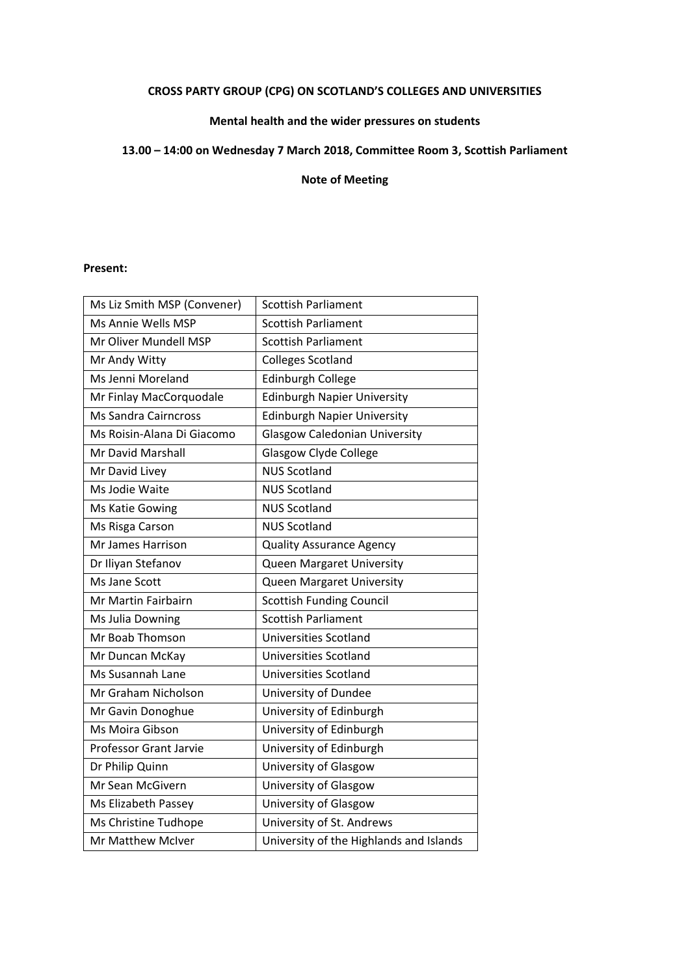# **CROSS PARTY GROUP (CPG) ON SCOTLAND'S COLLEGES AND UNIVERSITIES**

# **Mental health and the wider pressures on students**

# **13.00 – 14:00 on Wednesday 7 March 2018, Committee Room 3, Scottish Parliament**

**Note of Meeting**

# **Present:**

| Ms Liz Smith MSP (Convener)   | <b>Scottish Parliament</b>              |
|-------------------------------|-----------------------------------------|
| Ms Annie Wells MSP            | <b>Scottish Parliament</b>              |
| Mr Oliver Mundell MSP         | <b>Scottish Parliament</b>              |
| Mr Andy Witty                 | <b>Colleges Scotland</b>                |
| Ms Jenni Moreland             | <b>Edinburgh College</b>                |
| Mr Finlay MacCorquodale       | <b>Edinburgh Napier University</b>      |
| <b>Ms Sandra Cairncross</b>   | Edinburgh Napier University             |
| Ms Roisin-Alana Di Giacomo    | <b>Glasgow Caledonian University</b>    |
| <b>Mr David Marshall</b>      | <b>Glasgow Clyde College</b>            |
| Mr David Livey                | <b>NUS Scotland</b>                     |
| Ms Jodie Waite                | <b>NUS Scotland</b>                     |
| Ms Katie Gowing               | <b>NUS Scotland</b>                     |
| Ms Risga Carson               | <b>NUS Scotland</b>                     |
| <b>Mr James Harrison</b>      | <b>Quality Assurance Agency</b>         |
| Dr Iliyan Stefanov            | Queen Margaret University               |
| Ms Jane Scott                 | Queen Margaret University               |
| Mr Martin Fairbairn           | <b>Scottish Funding Council</b>         |
| Ms Julia Downing              | <b>Scottish Parliament</b>              |
| Mr Boab Thomson               | <b>Universities Scotland</b>            |
| Mr Duncan McKay               | Universities Scotland                   |
| <b>Ms Susannah Lane</b>       | Universities Scotland                   |
| Mr Graham Nicholson           | University of Dundee                    |
| Mr Gavin Donoghue             | University of Edinburgh                 |
| Ms Moira Gibson               | University of Edinburgh                 |
| <b>Professor Grant Jarvie</b> | University of Edinburgh                 |
| Dr Philip Quinn               | University of Glasgow                   |
| Mr Sean McGivern              | University of Glasgow                   |
| Ms Elizabeth Passey           | University of Glasgow                   |
| Ms Christine Tudhope          | University of St. Andrews               |
| Mr Matthew McIver             | University of the Highlands and Islands |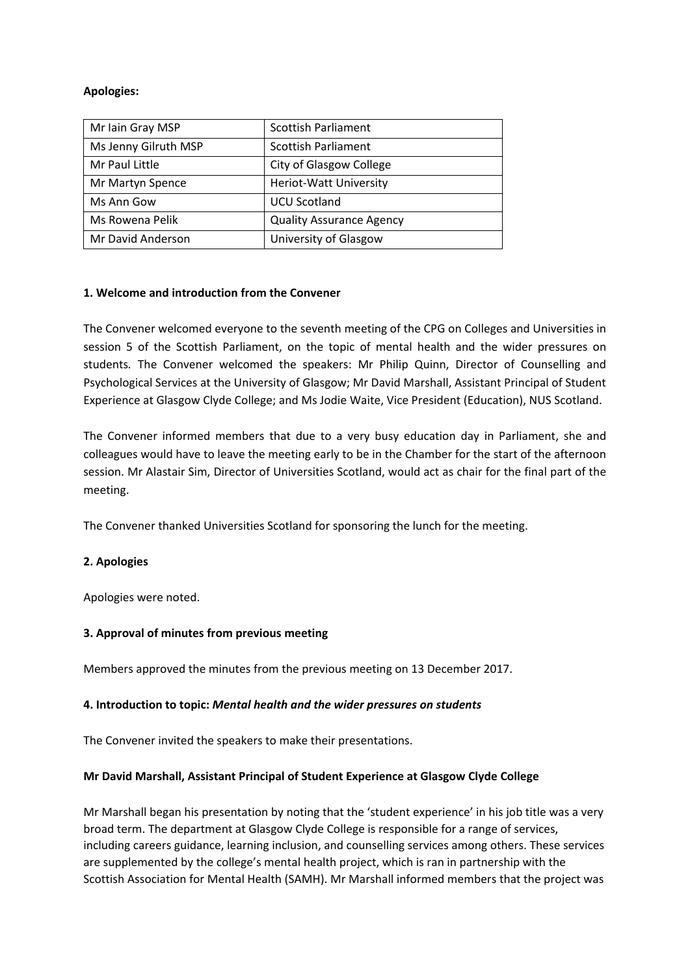# **Apologies:**

| Mr Iain Gray MSP     | <b>Scottish Parliament</b>      |
|----------------------|---------------------------------|
| Ms Jenny Gilruth MSP | <b>Scottish Parliament</b>      |
| Mr Paul Little       | City of Glasgow College         |
| Mr Martyn Spence     | <b>Heriot-Watt University</b>   |
| Ms Ann Gow           | <b>UCU Scotland</b>             |
| Ms Rowena Pelik      | <b>Quality Assurance Agency</b> |
| Mr David Anderson    | University of Glasgow           |

# **1. Welcome and introduction from the Convener**

The Convener welcomed everyone to the seventh meeting of the CPG on Colleges and Universities in session 5 of the Scottish Parliament, on the topic of mental health and the wider pressures on students*.* The Convener welcomed the speakers: Mr Philip Quinn, Director of Counselling and Psychological Services at the University of Glasgow; Mr David Marshall, Assistant Principal of Student Experience at Glasgow Clyde College; and Ms Jodie Waite, Vice President (Education), NUS Scotland.

The Convener informed members that due to a very busy education day in Parliament, she and colleagues would have to leave the meeting early to be in the Chamber for the start of the afternoon session. Mr Alastair Sim, Director of Universities Scotland, would act as chair for the final part of the meeting.

The Convener thanked Universities Scotland for sponsoring the lunch for the meeting.

# **2. Apologies**

Apologies were noted.

#### **3. Approval of minutes from previous meeting**

Members approved the minutes from the previous meeting on 13 December 2017.

#### **4. Introduction to topic:** *Mental health and the wider pressures on students*

The Convener invited the speakers to make their presentations.

#### **Mr David Marshall, Assistant Principal of Student Experience at Glasgow Clyde College**

Mr Marshall began his presentation by noting that the 'student experience' in his job title was a very broad term. The department at Glasgow Clyde College is responsible for a range of services, including careers guidance, learning inclusion, and counselling services among others. These services are supplemented by the college's mental health project, which is ran in partnership with the Scottish Association for Mental Health (SAMH). Mr Marshall informed members that the project was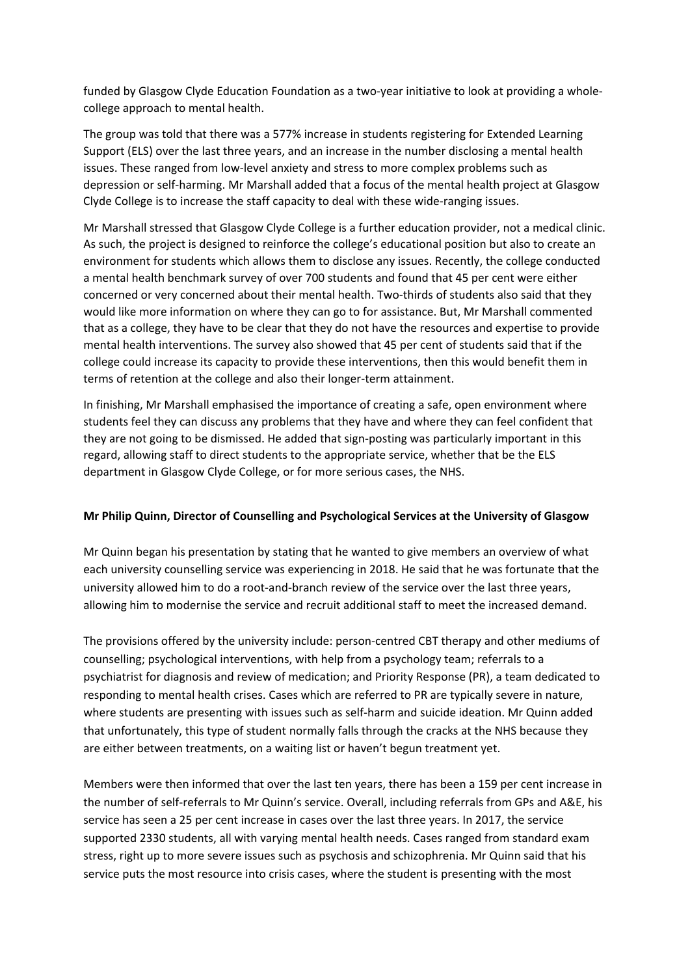funded by Glasgow Clyde Education Foundation as a two-year initiative to look at providing a wholecollege approach to mental health.

The group was told that there was a 577% increase in students registering for Extended Learning Support (ELS) over the last three years, and an increase in the number disclosing a mental health issues. These ranged from low-level anxiety and stress to more complex problems such as depression or self-harming. Mr Marshall added that a focus of the mental health project at Glasgow Clyde College is to increase the staff capacity to deal with these wide-ranging issues.

Mr Marshall stressed that Glasgow Clyde College is a further education provider, not a medical clinic. As such, the project is designed to reinforce the college's educational position but also to create an environment for students which allows them to disclose any issues. Recently, the college conducted a mental health benchmark survey of over 700 students and found that 45 per cent were either concerned or very concerned about their mental health. Two-thirds of students also said that they would like more information on where they can go to for assistance. But, Mr Marshall commented that as a college, they have to be clear that they do not have the resources and expertise to provide mental health interventions. The survey also showed that 45 per cent of students said that if the college could increase its capacity to provide these interventions, then this would benefit them in terms of retention at the college and also their longer-term attainment.

In finishing, Mr Marshall emphasised the importance of creating a safe, open environment where students feel they can discuss any problems that they have and where they can feel confident that they are not going to be dismissed. He added that sign-posting was particularly important in this regard, allowing staff to direct students to the appropriate service, whether that be the ELS department in Glasgow Clyde College, or for more serious cases, the NHS.

#### **Mr Philip Quinn, Director of Counselling and Psychological Services at the University of Glasgow**

Mr Quinn began his presentation by stating that he wanted to give members an overview of what each university counselling service was experiencing in 2018. He said that he was fortunate that the university allowed him to do a root-and-branch review of the service over the last three years, allowing him to modernise the service and recruit additional staff to meet the increased demand.

The provisions offered by the university include: person-centred CBT therapy and other mediums of counselling; psychological interventions, with help from a psychology team; referrals to a psychiatrist for diagnosis and review of medication; and Priority Response (PR), a team dedicated to responding to mental health crises. Cases which are referred to PR are typically severe in nature, where students are presenting with issues such as self-harm and suicide ideation. Mr Quinn added that unfortunately, this type of student normally falls through the cracks at the NHS because they are either between treatments, on a waiting list or haven't begun treatment yet.

Members were then informed that over the last ten years, there has been a 159 per cent increase in the number of self-referrals to Mr Quinn's service. Overall, including referrals from GPs and A&E, his service has seen a 25 per cent increase in cases over the last three years. In 2017, the service supported 2330 students, all with varying mental health needs. Cases ranged from standard exam stress, right up to more severe issues such as psychosis and schizophrenia. Mr Quinn said that his service puts the most resource into crisis cases, where the student is presenting with the most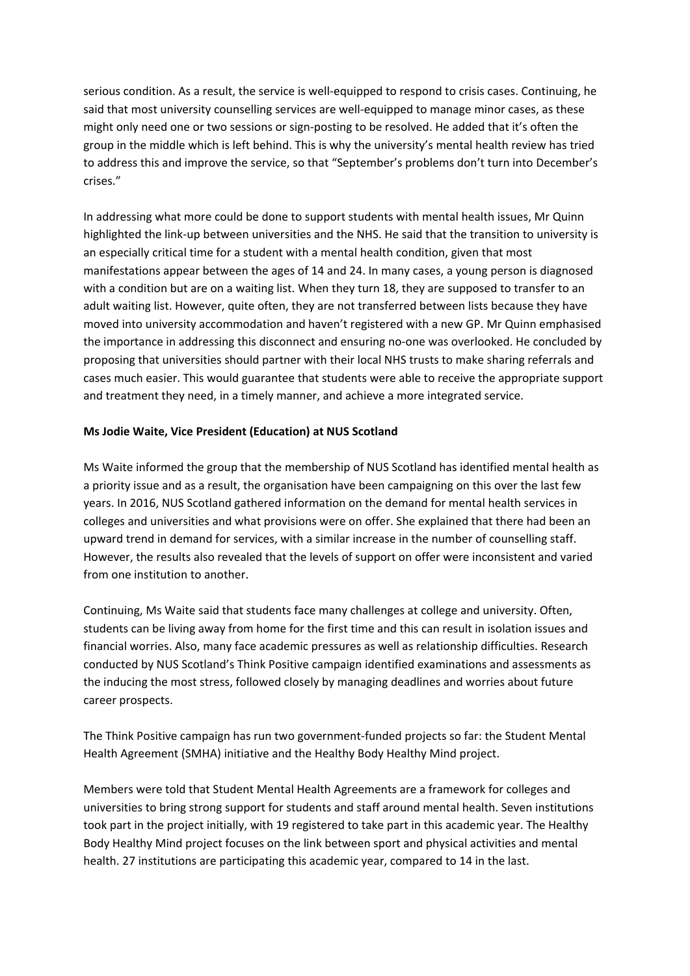serious condition. As a result, the service is well-equipped to respond to crisis cases. Continuing, he said that most university counselling services are well-equipped to manage minor cases, as these might only need one or two sessions or sign-posting to be resolved. He added that it's often the group in the middle which is left behind. This is why the university's mental health review has tried to address this and improve the service, so that "September's problems don't turn into December's crises."

In addressing what more could be done to support students with mental health issues, Mr Quinn highlighted the link-up between universities and the NHS. He said that the transition to university is an especially critical time for a student with a mental health condition, given that most manifestations appear between the ages of 14 and 24. In many cases, a young person is diagnosed with a condition but are on a waiting list. When they turn 18, they are supposed to transfer to an adult waiting list. However, quite often, they are not transferred between lists because they have moved into university accommodation and haven't registered with a new GP. Mr Quinn emphasised the importance in addressing this disconnect and ensuring no-one was overlooked. He concluded by proposing that universities should partner with their local NHS trusts to make sharing referrals and cases much easier. This would guarantee that students were able to receive the appropriate support and treatment they need, in a timely manner, and achieve a more integrated service.

# **Ms Jodie Waite, Vice President (Education) at NUS Scotland**

Ms Waite informed the group that the membership of NUS Scotland has identified mental health as a priority issue and as a result, the organisation have been campaigning on this over the last few years. In 2016, NUS Scotland gathered information on the demand for mental health services in colleges and universities and what provisions were on offer. She explained that there had been an upward trend in demand for services, with a similar increase in the number of counselling staff. However, the results also revealed that the levels of support on offer were inconsistent and varied from one institution to another.

Continuing, Ms Waite said that students face many challenges at college and university. Often, students can be living away from home for the first time and this can result in isolation issues and financial worries. Also, many face academic pressures as well as relationship difficulties. Research conducted by NUS Scotland's Think Positive campaign identified examinations and assessments as the inducing the most stress, followed closely by managing deadlines and worries about future career prospects.

The Think Positive campaign has run two government-funded projects so far: the Student Mental Health Agreement (SMHA) initiative and the Healthy Body Healthy Mind project.

Members were told that Student Mental Health Agreements are a framework for colleges and universities to bring strong support for students and staff around mental health. Seven institutions took part in the project initially, with 19 registered to take part in this academic year. The Healthy Body Healthy Mind project focuses on the link between sport and physical activities and mental health. 27 institutions are participating this academic year, compared to 14 in the last.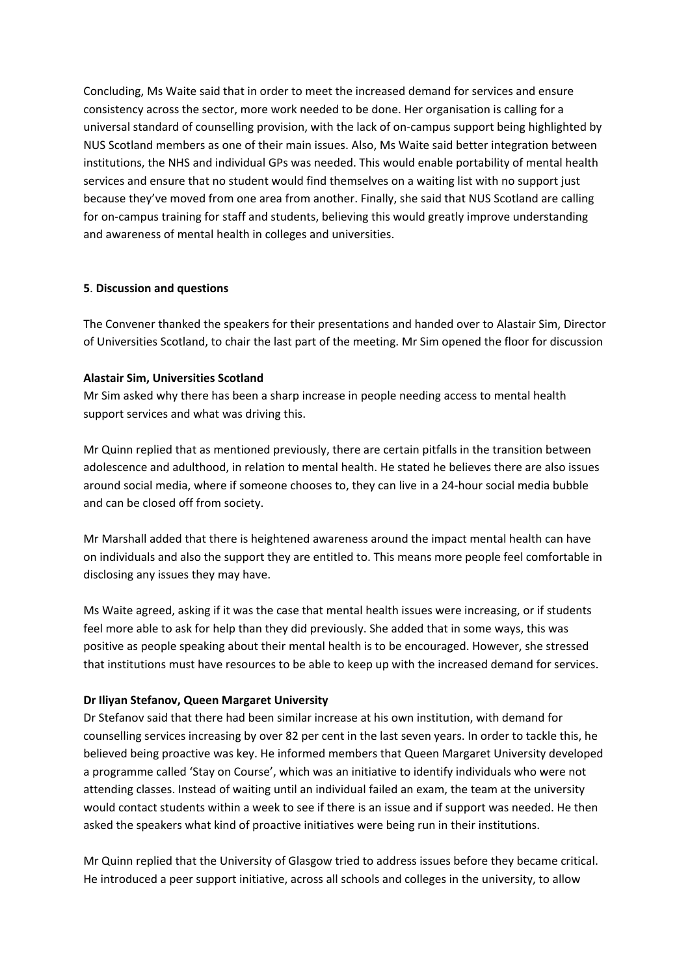Concluding, Ms Waite said that in order to meet the increased demand for services and ensure consistency across the sector, more work needed to be done. Her organisation is calling for a universal standard of counselling provision, with the lack of on-campus support being highlighted by NUS Scotland members as one of their main issues. Also, Ms Waite said better integration between institutions, the NHS and individual GPs was needed. This would enable portability of mental health services and ensure that no student would find themselves on a waiting list with no support just because they've moved from one area from another. Finally, she said that NUS Scotland are calling for on-campus training for staff and students, believing this would greatly improve understanding and awareness of mental health in colleges and universities.

#### **5**. **Discussion and questions**

The Convener thanked the speakers for their presentations and handed over to Alastair Sim, Director of Universities Scotland, to chair the last part of the meeting. Mr Sim opened the floor for discussion

# **Alastair Sim, Universities Scotland**

Mr Sim asked why there has been a sharp increase in people needing access to mental health support services and what was driving this.

Mr Quinn replied that as mentioned previously, there are certain pitfalls in the transition between adolescence and adulthood, in relation to mental health. He stated he believes there are also issues around social media, where if someone chooses to, they can live in a 24-hour social media bubble and can be closed off from society.

Mr Marshall added that there is heightened awareness around the impact mental health can have on individuals and also the support they are entitled to. This means more people feel comfortable in disclosing any issues they may have.

Ms Waite agreed, asking if it was the case that mental health issues were increasing, or if students feel more able to ask for help than they did previously. She added that in some ways, this was positive as people speaking about their mental health is to be encouraged. However, she stressed that institutions must have resources to be able to keep up with the increased demand for services.

# **Dr Iliyan Stefanov, Queen Margaret University**

Dr Stefanov said that there had been similar increase at his own institution, with demand for counselling services increasing by over 82 per cent in the last seven years. In order to tackle this, he believed being proactive was key. He informed members that Queen Margaret University developed a programme called 'Stay on Course', which was an initiative to identify individuals who were not attending classes. Instead of waiting until an individual failed an exam, the team at the university would contact students within a week to see if there is an issue and if support was needed. He then asked the speakers what kind of proactive initiatives were being run in their institutions.

Mr Quinn replied that the University of Glasgow tried to address issues before they became critical. He introduced a peer support initiative, across all schools and colleges in the university, to allow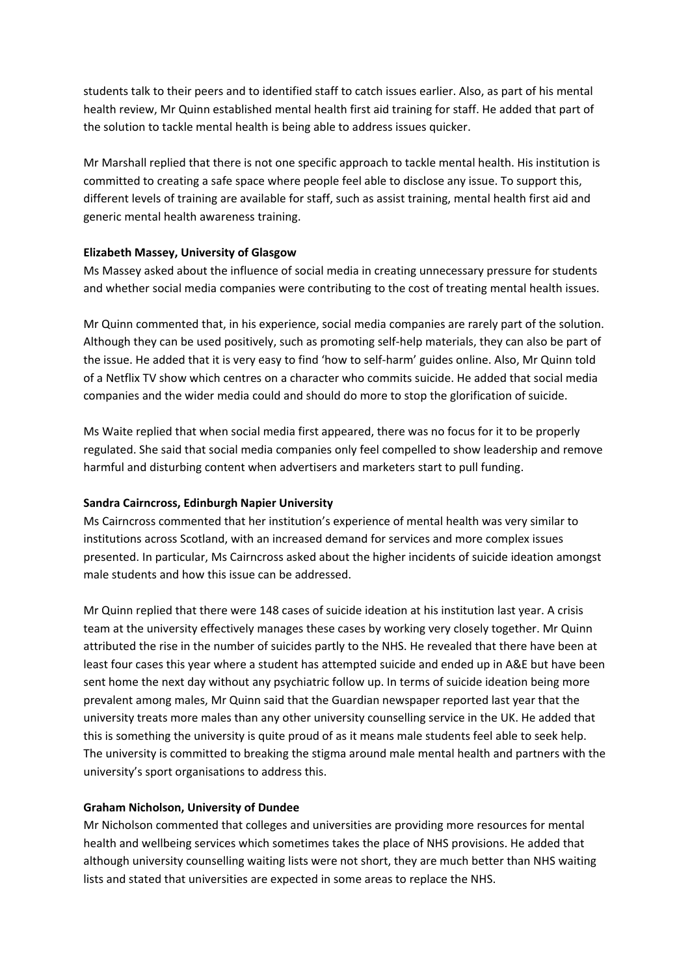students talk to their peers and to identified staff to catch issues earlier. Also, as part of his mental health review, Mr Quinn established mental health first aid training for staff. He added that part of the solution to tackle mental health is being able to address issues quicker.

Mr Marshall replied that there is not one specific approach to tackle mental health. His institution is committed to creating a safe space where people feel able to disclose any issue. To support this, different levels of training are available for staff, such as assist training, mental health first aid and generic mental health awareness training.

# **Elizabeth Massey, University of Glasgow**

Ms Massey asked about the influence of social media in creating unnecessary pressure for students and whether social media companies were contributing to the cost of treating mental health issues.

Mr Quinn commented that, in his experience, social media companies are rarely part of the solution. Although they can be used positively, such as promoting self-help materials, they can also be part of the issue. He added that it is very easy to find 'how to self-harm' guides online. Also, Mr Quinn told of a Netflix TV show which centres on a character who commits suicide. He added that social media companies and the wider media could and should do more to stop the glorification of suicide.

Ms Waite replied that when social media first appeared, there was no focus for it to be properly regulated. She said that social media companies only feel compelled to show leadership and remove harmful and disturbing content when advertisers and marketers start to pull funding.

#### **Sandra Cairncross, Edinburgh Napier University**

Ms Cairncross commented that her institution's experience of mental health was very similar to institutions across Scotland, with an increased demand for services and more complex issues presented. In particular, Ms Cairncross asked about the higher incidents of suicide ideation amongst male students and how this issue can be addressed.

Mr Quinn replied that there were 148 cases of suicide ideation at his institution last year. A crisis team at the university effectively manages these cases by working very closely together. Mr Quinn attributed the rise in the number of suicides partly to the NHS. He revealed that there have been at least four cases this year where a student has attempted suicide and ended up in A&E but have been sent home the next day without any psychiatric follow up. In terms of suicide ideation being more prevalent among males, Mr Quinn said that the Guardian newspaper reported last year that the university treats more males than any other university counselling service in the UK. He added that this is something the university is quite proud of as it means male students feel able to seek help. The university is committed to breaking the stigma around male mental health and partners with the university's sport organisations to address this.

#### **Graham Nicholson, University of Dundee**

Mr Nicholson commented that colleges and universities are providing more resources for mental health and wellbeing services which sometimes takes the place of NHS provisions. He added that although university counselling waiting lists were not short, they are much better than NHS waiting lists and stated that universities are expected in some areas to replace the NHS.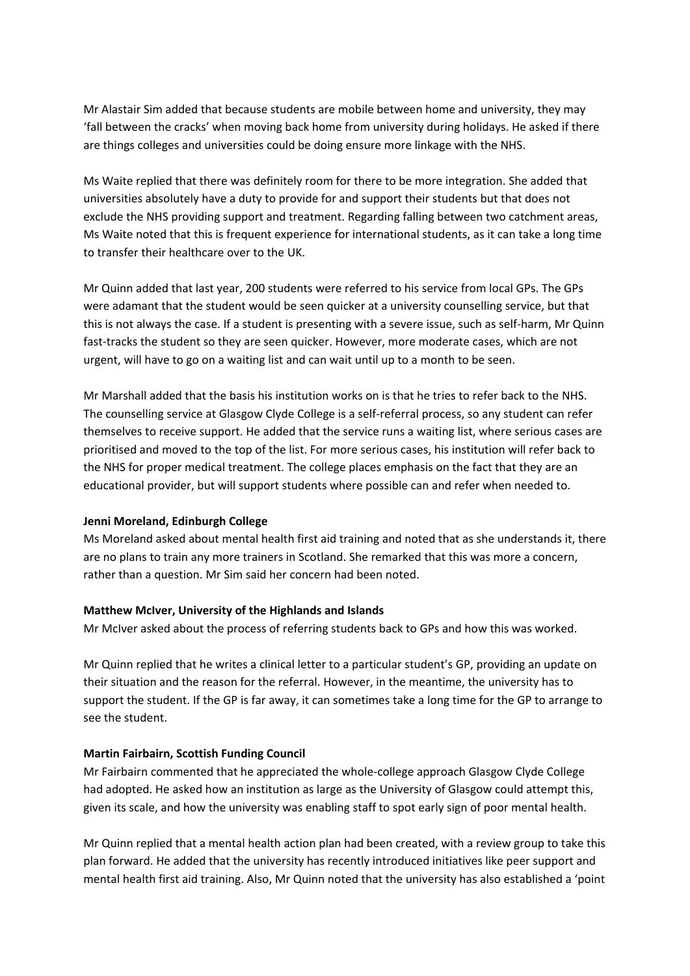Mr Alastair Sim added that because students are mobile between home and university, they may 'fall between the cracks' when moving back home from university during holidays. He asked if there are things colleges and universities could be doing ensure more linkage with the NHS.

Ms Waite replied that there was definitely room for there to be more integration. She added that universities absolutely have a duty to provide for and support their students but that does not exclude the NHS providing support and treatment. Regarding falling between two catchment areas, Ms Waite noted that this is frequent experience for international students, as it can take a long time to transfer their healthcare over to the UK.

Mr Quinn added that last year, 200 students were referred to his service from local GPs. The GPs were adamant that the student would be seen quicker at a university counselling service, but that this is not always the case. If a student is presenting with a severe issue, such as self-harm, Mr Quinn fast-tracks the student so they are seen quicker. However, more moderate cases, which are not urgent, will have to go on a waiting list and can wait until up to a month to be seen.

Mr Marshall added that the basis his institution works on is that he tries to refer back to the NHS. The counselling service at Glasgow Clyde College is a self-referral process, so any student can refer themselves to receive support. He added that the service runs a waiting list, where serious cases are prioritised and moved to the top of the list. For more serious cases, his institution will refer back to the NHS for proper medical treatment. The college places emphasis on the fact that they are an educational provider, but will support students where possible can and refer when needed to.

#### **Jenni Moreland, Edinburgh College**

Ms Moreland asked about mental health first aid training and noted that as she understands it, there are no plans to train any more trainers in Scotland. She remarked that this was more a concern, rather than a question. Mr Sim said her concern had been noted.

#### **Matthew McIver, University of the Highlands and Islands**

Mr McIver asked about the process of referring students back to GPs and how this was worked.

Mr Quinn replied that he writes a clinical letter to a particular student's GP, providing an update on their situation and the reason for the referral. However, in the meantime, the university has to support the student. If the GP is far away, it can sometimes take a long time for the GP to arrange to see the student.

#### **Martin Fairbairn, Scottish Funding Council**

Mr Fairbairn commented that he appreciated the whole-college approach Glasgow Clyde College had adopted. He asked how an institution as large as the University of Glasgow could attempt this, given its scale, and how the university was enabling staff to spot early sign of poor mental health.

Mr Quinn replied that a mental health action plan had been created, with a review group to take this plan forward. He added that the university has recently introduced initiatives like peer support and mental health first aid training. Also, Mr Quinn noted that the university has also established a 'point